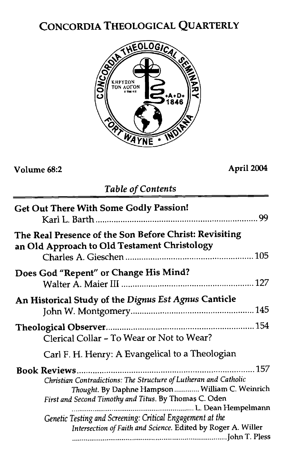# CONCORDIA THEOLOGICAL QUARTERLY



## **Volume 68:2 April** *2004*

## *Table of Contents*

| <b>Get Out There With Some Godly Passion!</b>                                                                                                                                |
|------------------------------------------------------------------------------------------------------------------------------------------------------------------------------|
| The Real Presence of the Son Before Christ: Revisiting<br>an Old Approach to Old Testament Christology                                                                       |
| Does God "Repent" or Change His Mind?                                                                                                                                        |
| An Historical Study of the Dignus Est Agnus Canticle                                                                                                                         |
| Clerical Collar - To Wear or Not to Wear?                                                                                                                                    |
| Carl F. H. Henry: A Evangelical to a Theologian                                                                                                                              |
| Christian Contradictions: The Structure of Lutheran and Catholic<br>Thought. By Daphne Hampson  William C. Weinrich<br>First and Second Timothy and Titus. By Thomas C. Oden |
| Genetic Testing and Screening: Critical Engagement at the<br>Intersection of Faith and Science. Edited by Roger A. Willer                                                    |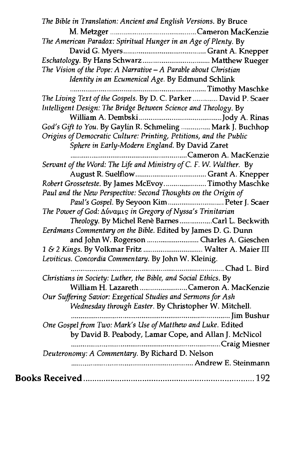| The Bible in Translation: Ancient and English Versions. By Bruce   |
|--------------------------------------------------------------------|
|                                                                    |
| The American Paradox: Spiritual Hunger in an Age of Plenty. By     |
|                                                                    |
|                                                                    |
| The Vision of the Pope: A Narrative $-A$ Parable about Christian   |
| Identity in an Ecumenical Age. By Edmund Schlink                   |
|                                                                    |
| The Living Text of the Gospels. By D. C. Parker  David P. Scaer    |
| Intelligent Design: The Bridge Between Science and Theology. By    |
|                                                                    |
| God's Gift to You. By Gaylin R. Schmeling  Mark J. Buchhop         |
| Origins of Democratic Culture: Printing, Petitions, and the Public |
| Sphere in Early-Modern England. By David Zaret                     |
|                                                                    |
| Servant of the Word: The Life and Ministry of C. F. W. Walther. By |
|                                                                    |
| Robert Grosseteste. By James McEvoyTimothy Maschke                 |
| Paul and the New Perspective: Second Thoughts on the Origin of     |
| Paul's Gospel. By Seyoon Kim Peter J. Scaer                        |
| The Power of God: Δύναμις in Gregory of Nyssa's Trinitarian        |
| Theology. By Michel Renè Barnes Carl L. Beckwith                   |
| Eerdmans Commentary on the Bible. Edited by James D. G. Dunn       |
| and John W. Rogerson  Charles A. Gieschen                          |
| 1 & 2 Kings. By Volkmar Fritz  Walter A. Maier III                 |
| Leviticus. Concordia Commentary. By John W. Kleinig.               |
|                                                                    |
| Christians in Society: Luther, the Bible, and Social Ethics. By    |
| William H. Lazareth Cameron A. MacKenzie                           |
| Our Suffering Savior: Exegetical Studies and Sermons for Ash       |
| Wednesday through Easter. By Christopher W. Mitchell.              |
| Jim Bushur                                                         |
| One Gospel from Two: Mark's Use of Matthew and Luke. Edited        |
| by David B. Peabody, Lamar Cope, and Allan J. McNicol              |
| Craig Miesner                                                      |
| Deuteronomy: A Commentary. By Richard D. Nelson                    |
|                                                                    |
|                                                                    |
|                                                                    |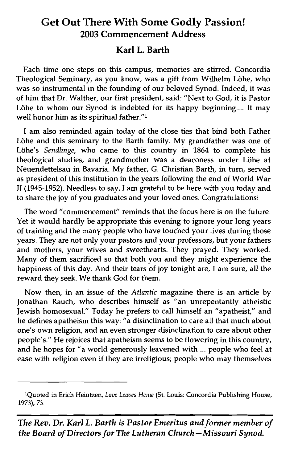## **Get Out There With Some Godly Passion! 2003 Commencement Address**

## **Karl L. Barth**

Each time one steps on this campus, memories are stirred. Concordia Theological Seminary, as you know, was a gift from Wilhelm Löhe, who was so instrumental in the founding of our beloved Synod. Indeed, it was of him that Dr. Walther, our first president, said: "Next to God, it is Pastor Löhe to whom our Synod is indebted for its happy beginning.... It may well honor him as its spiritual father."<sup>1</sup>

I am also reminded again today of the close ties that bind both Father Löhe and this seminary to the Barth family. My grandfather was one of Löhe's *Sendlinge*, who came to this country in 1864 to complete his theological studies, and grandmother was a deaconess under Löhe at Neuendettelsau in Bavaria. My father, G. Christian Barth, in turn, served as president of this institution in the years following the end of World War I1 (1945-1952). Needless to say, I am grateful to be here with you today and to share the joy of you graduates and your loved ones. Congratulations!

The word "commencement" reminds that the focus here is on the future. Yet it would hardly be appropriate this evening to ignore your long years of training and the many people who have touched your lives during those years. They are not only your pastors and your professors, but your fathers and mothers, your wives and sweethearts. They prayed. They worked. Many of them sacrificed so that both you and they might experience the happiness of this day. And their tears of joy tonight are, I am sure, all the reward they seek. We thank God for them.

Now then, in an issue of the *Atlantic* magazine there is an article by Jonathan Rauch, who describes himself as "an unrepentantly atheistic Jewish homosexual." Today he prefers to call himself an "apatheist," and he defines apatheism this way: "a disinclination to care all that much about one's own religion, and an even stronger disinclination to care about other people's." He rejoices that apatheism seems to be flowering in this country, and he hopes for "a world generously leavened with ... people who feel at ease with religion even if they are irreligious; people who may themselves d generously leavened with ... people<br>they are irreligious; people who may they are irreligious; people who may the<br>Love Leaves Heme (St. Louis: Concordia Publis<br>with is Pastor Emeritus and former if

<sup>&</sup>lt;sup>1</sup>Quoted in Erich Heintzen, Love Leaves Hcme (St. Louis: Concordia Publishing House, 1973), 73.

*The* **Rev.** *Dr. Karl* **L.** *Barth is Pastor Emeritus and former member of the Board of Directors for The Lutheran Church - Missouri Synod.*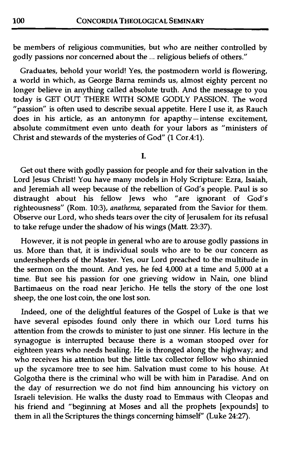be members of religious communities, but who are neither controlled by godly passions nor concerned about the ... religious beliefs of others."

Graduates, behold your world! Yes, the postmodern world is flowering, a world in which, as George Barna reminds us, almost eighty percent no longer believe in anything called absolute truth. And the message to you today is GET OUT THERE WITH SOME GODLY PASSION. The word "passion" is often used to describe sexual appetite. Here I use it, as Rauch does in his article, as an antonymn for apapthy-intense excitement, absolute commitment even unto death for your labors as "ministers of Christ and stewards of the mysteries of God"  $(1$  Cor.4:1).

Ī.

Get out there with godly passion for people and for their salvation in the Lord Jesus Christ! You have many models in Holy Scripture: Ezra, Isaiah, and Jeremiah all weep because of the rebellion of God's people. Paul is so distraught about his fellow Jews who "are ignorant of God's righteousness" (Rom. 10:3), anathema, separated from the Savior for them. Observe our Lord, who sheds tears over the city of Jerusalem for its refusal to take refuge under the shadow of his wings (Matt. 23:37).

However, it is not people in general who are to arouse godly passions in us. More than that, it is individual souls who are to be our concern as undershepherds of the Master. Yes, our Lord preached to the multitude in the sermon on the mount. And yes, he fed 4,000 at a time and 5,000 at a time. But see his passion for one grieving widow in Nain, one blind Bartimaeus on the road near Jericho. He tells the story of the one lost sheep, the one lost coin, the one lost son.

Indeed, one of the delightful features of the Gospel of Luke is that we have several episodes found only there in which our Lord turns his attention from the crowds to minister to just one sinner. His lecture in the synagogue is interrupted because there is a woman stooped over for eighteen years who needs healing. He is thronged along the highway; and who receives his attention but the little tax collector fellow who shinnied up the sycamore tree to see him. Salvation must come to his house. At Golgotha there is the criminal who will be with him in Paradise. And on the day of resurrection we do not find him announcing his victory on Israeli television. He walks the dusty road to Emmaus with Cleopas and his friend and "beginning at Moses and all the prophets [expounds] to them in all the Scriptures the things concerning himself" (Luke 24:27).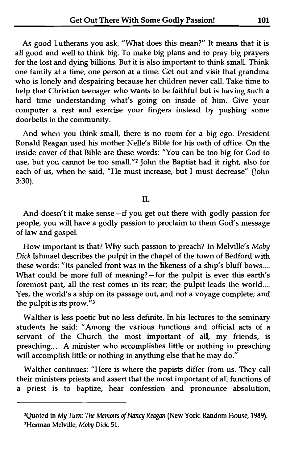As good Lutherans you ask, "What does this mean?" It means that it is all good and well to think big. To make big plans and to pray big prayers for the lost and dying billions. But it is also important to think small. Think one family at a time, one person at a time. Get out and visit that grandma who is lonely and despairing because her children never call. Take time to help that Christian teenager who wants to be faithful but is having such a hard time understanding what's going on inside of him. Give your computer a rest and exercise your fingers instead by pushing some doorbells in the community.

And when you think small, there is no room for a big ego. President Ronald Reagan used his mother Nelle's Bible for his oath of office. On the inside cover of that Bible are these words: "You can be too big for God to use, but you cannot be too small."2 John the Baptist had it right, also for each of us, when he said, "He must increase, but I must decrease" (John 3:30).

### II.

And doesn't it make sense-if you get out there with godly passion for people, you will have a godly passion to proclaim to them God's message of law and gospel.

How important is that? Why such passion to preach? In Melville's Moby **Dick** Ishmael describes the pulpit in the chapel of the town of Bedford with these words: "Its paneled front was in the likeness of a ship's bluff bows .... What could be more full of meaning?-for the pulpit is ever this earth's foremost part, all the rest comes in its rear; the pulpit leads the world.... Yes, the world's a ship on its passage out, and not a voyage complete; and the pulpit is its prow."s

Walther is less poetic but no less definite. In his lectures to the seminary students he said: "Among the various functions and official acts of a servant of the Church the most important of all, my friends, is preaching.... A minister who accomplishes little or nothing in preaching will accomplish little or nothing in anything else that he may do."

Walther continues: "Here is where the papists differ from us. They call their ministers priests and assert that the most important of all functions of a priest is to baptize, hear confession and pronounce absolution,

Quoted in My **Turn:** The Memoirs of Nancy Reagan (New York: Random House, 1989). **3Herman** Melville, Moby *Dick,* **51.**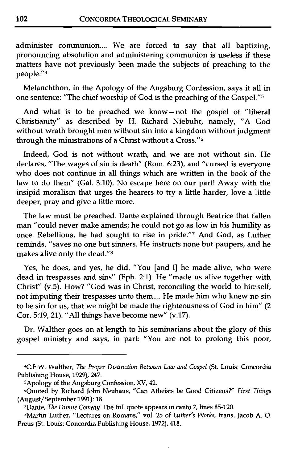administer communion.... We are forced to say that all baptizing, pronouncing absolution and administering communion is useless if these matters have not previously been made the subjects of preaching to the people."4

Melanchthon, in the Apology of the Augsburg Confession, says it all in one sentence: "The chief worship of God is the preaching of the Gospel."5

And what is to be preached we know-not the gospel of "liberal Christianity" as described by H. Richard Niebuhr, namely, "A God without wrath brought men without sin into a kingdom without judgment through the ministrations of a Christ without a Cross."<sup>6</sup>

Indeed, God is not without wrath, and we are not without sin. He declares, "The wages of sin is death" (Rom. 6:23), and "cursed is everyone who does not continue in all things which are written in the book of the law to do them" (Gal. 3:lO). No escape here on our part! Away with the insipid moralism that urges the hearers to try a little harder, love a little deeper, pray and give a little more.

The law must be preached. Dante explained through Beatrice that fallen man "could never make amends; he could not go as low in his humility as once. Rebellious, he had sought to rise in pride."' And God, as Luther reminds, "saves no one but sinners. He instructs none but paupers, and he makes alive only the dead."8

Yes, he does, and yes, he did. "You [and I] he made alive, who were dead in trespasses and sins" (Eph. 2:l). He "made us alive together with Christ" (v.5). How? "God was in Christ, reconciling the world to himself, not imputing their trespasses unto them.... He made him who knew no sin to be sin for us, that we might be made the righteousness of God in him" (2 Cor. 5:19,21). "All things have become new" **(v.17).** 

Dr. Walther goes on at length to his seminarians about the glory of this gospel ministry and says, in part: "You are not to prolong this poor,

<sup>4</sup>C.F.W. Walther, *The Proper Distinction Behoeen Law and Gospel* (St. Louis: Concordia Publishing House, **1929), 247.** 

SApology of the Augsburg Confession, XV, **42.** 

<sup>6</sup>Quoted by Richard John Neuhaus, "Can Atheists be Good Citizens?" *First Tllings*  (August/September **1991): 18.** 

<sup>&#</sup>x27;Dante, *The Divine Conledy.* The full quote appears in canto 7, lines **85-120.** 

<sup>8</sup>Martin Luther, "Lectures on Romans," vol. 25 of *Luther's Works,* trans. Jacob A. 0. Preus (St. Louis: Concordia Publishing House, **1972), 418.**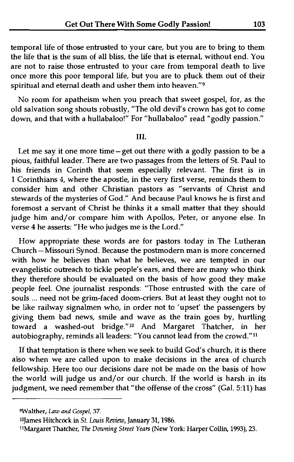temporal life of those entrusted to your care, but you are to bring to them the life that is the sum of all bliss, the life that is eternal, without end. You are not to raise those entrusted to your care from temporal death to live once more this poor temporal life, but you are to pluck them out of their spiritual and eternal death and usher them into heaven."<sup>9</sup>

No room for apatheism when you preach that sweet gospel, for, as the old salvation song shouts robustly, "The old devil's crown has got to come down, and that with a hullabaloo!" For "hullabaloo" read "godly passion."

#### III.

Let me say it one more time-get out there with a godly passion to be a pious, faithful leader. There are two passages from the letters of St. Paul to his friends in Corinth that seem especially relevant. The first is in 1 Corinthians 4, where the apostle, in the very first verse, reminds them to consider him and other Christian pastors as "servants of Christ and stewards of the mysteries of God." And because Paul knows he is first and foremost a servant of Christ he thinks it a small matter that they should judge him and/or compare him with Apollos, Peter, or anyone else. In verse 4 he asserts: "He who judges me is the Lord."

How appropriate these words are for pastors today in The Lutheran Church -Missouri Synod. Because the postmodern man is more concerned with how he believes than what he believes, we are tempted in our evangelistic outreach to tickle people's ears, and there are many who think they therefore should be evaluated on the basis of how good they make people feel. One journalist responds: "Those entrusted with the care of souls ... need not be grim-faced doom-criers. But at least they ought not to be like railway signalmen who, in order not to 'upset' the passengers by giving them bad news, smile and wave as the train goes by, hurtling toward a washed-out bridge."<sup>10</sup> And Margaret Thatcher, in her autobiography, reminds all leaders: "You cannot lead from the crowd."<sup>11</sup>

If that temptation is there when we seek to build God's church, it is there also when we are called upon to make decisions in the area of church fellowship. Here too our decisions dare not be made on the basis of how the world will judge us and/or our church. If the world is harsh in its judgment, we need remember that "the offense of the cross" (Gal. 5:11) has

**<sup>9</sup>Walthe1,** *Law and Gospel,* **37.** 

<sup>&</sup>lt;sup>10</sup>James Hitchcock in *St. Louis Review*, January 31, 1986.

<sup>11</sup>Margaret Thatcher, *The Downing Street Years* (New York: Harper Collin, 1993), 23.